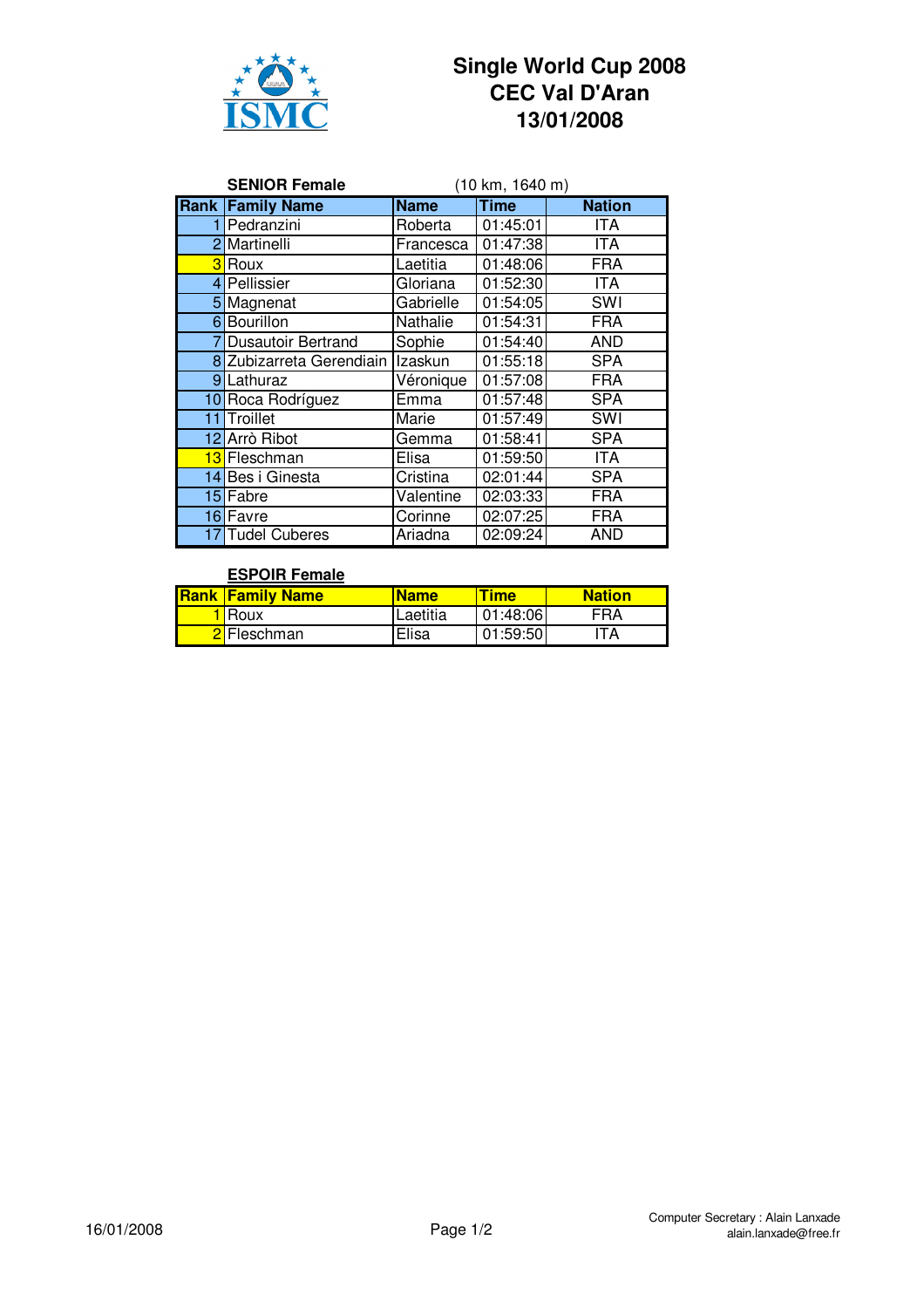

## **Single World Cup 2008 CEC Val D'Aran 13/01/2008**

|   | <b>SENIOR Female</b>      | (10 km, 1640 m) |                        |               |
|---|---------------------------|-----------------|------------------------|---------------|
|   | <b>Rank Family Name</b>   | <b>Name</b>     | <b>Time</b>            | <b>Nation</b> |
| 1 | Pedranzini                | Roberta         | $\overline{01}$ :45:01 | ITA.          |
|   | 2 Martinelli              | Francesca       | 01:47:38               | ITA           |
|   | <b>3</b> Roux             | Laetitia        | 01:48:06               | <b>FRA</b>    |
|   | 4 Pellissier              | Gloriana        | 01:52:30               | <b>ITA</b>    |
|   | 5 Magnenat                | Gabrielle       | 01:54:05               | SWI           |
|   | 6 Bourillon               | Nathalie        | 01:54:31               | <b>FRA</b>    |
|   | <b>Dusautoir Bertrand</b> | Sophie          | 01:54:40               | <b>AND</b>    |
|   | 8 Zubizarreta Gerendiain  | Izaskun         | 01:55:18               | SPA           |
|   | 9Lathuraz                 | Véronique       | 01:57:08               | <b>FRA</b>    |
|   | 10 Roca Rodríguez         | Emma            | 01:57:48               | <b>SPA</b>    |
|   | 11 Troillet               | Marie           | 01:57:49               | SWI           |
|   | 12 Arrò Ribot             | Gemma           | 01:58:41               | SPA           |
|   | 13 Fleschman              | Elisa           | 01:59:50               | <b>ITA</b>    |
|   | 14 Bes i Ginesta          | Cristina        | 02:01:44               | SPA           |
|   | 15 Fabre                  | Valentine       | 02:03:33               | <b>FRA</b>    |
|   | 16 Favre                  | Corinne         | 02:07:25               | <b>FRA</b>    |
|   | 17 Tudel Cuberes          | Ariadna         | 02:09:24               | <b>AND</b>    |

## **ESPOIR Female**

|  | <b>Rank Family Name</b> | <b>Name</b> | <b>Time</b> | <b>Nation</b> |
|--|-------------------------|-------------|-------------|---------------|
|  | <b>I</b> Roux           | Laetitia    | 01:48:06    | FRA           |
|  | 2 Fleschman             | Elisa       | 01:59:50    | ITA           |